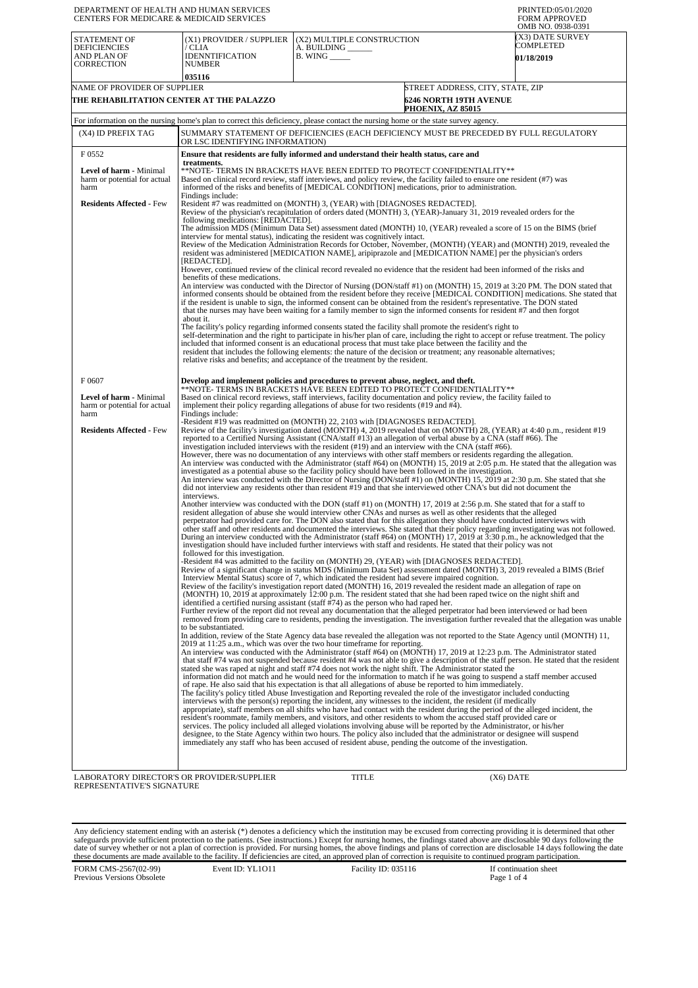| DEPARTMENT OF HEALTH AND HUMAN SERVICES<br><b>CENTERS FOR MEDICARE &amp; MEDICAID SERVICES</b> |                                                                                                                                                                                                                                                                                                                                             |                                                                                                                                                                                                                                                                                                                                                                                                                                                                                                                                                                                                                                                                                                                                                                                                   | PRINTED:05/01/2020<br><b>FORM APPROVED</b><br>OMB NO. 0938-0391                                                                                                                                                                                                                                                                                                                                                                                                                                                                                                                                                                                                           |  |
|------------------------------------------------------------------------------------------------|---------------------------------------------------------------------------------------------------------------------------------------------------------------------------------------------------------------------------------------------------------------------------------------------------------------------------------------------|---------------------------------------------------------------------------------------------------------------------------------------------------------------------------------------------------------------------------------------------------------------------------------------------------------------------------------------------------------------------------------------------------------------------------------------------------------------------------------------------------------------------------------------------------------------------------------------------------------------------------------------------------------------------------------------------------------------------------------------------------------------------------------------------------|---------------------------------------------------------------------------------------------------------------------------------------------------------------------------------------------------------------------------------------------------------------------------------------------------------------------------------------------------------------------------------------------------------------------------------------------------------------------------------------------------------------------------------------------------------------------------------------------------------------------------------------------------------------------------|--|
| STATEMENT OF<br><b>DEFICIENCIES</b><br>AND PLAN OF<br><b>CORRECTION</b>                        | (X1) PROVIDER / SUPPLIER<br>/ CLIA<br><b>IDENNTIFICATION</b><br><b>NUMBER</b><br>035116                                                                                                                                                                                                                                                     | (X2) MULTIPLE CONSTRUCTION<br>A. BUILDING<br><b>B.</b> WING _____                                                                                                                                                                                                                                                                                                                                                                                                                                                                                                                                                                                                                                                                                                                                 | (X3) DATE SURVEY<br>COMPLETED<br><b>01/18/2019</b>                                                                                                                                                                                                                                                                                                                                                                                                                                                                                                                                                                                                                        |  |
| NAME OF PROVIDER OF SUPPLIER<br>THE REHABILITATION CENTER AT THE PALAZZO                       |                                                                                                                                                                                                                                                                                                                                             |                                                                                                                                                                                                                                                                                                                                                                                                                                                                                                                                                                                                                                                                                                                                                                                                   | STREET ADDRESS, CITY, STATE, ZIP<br><b>6246 NORTH 19TH AVENUE</b><br>PHOENIX, AZ 85015                                                                                                                                                                                                                                                                                                                                                                                                                                                                                                                                                                                    |  |
|                                                                                                |                                                                                                                                                                                                                                                                                                                                             | For information on the nursing home's plan to correct this deficiency, please contact the nursing home or the state survey agency.                                                                                                                                                                                                                                                                                                                                                                                                                                                                                                                                                                                                                                                                |                                                                                                                                                                                                                                                                                                                                                                                                                                                                                                                                                                                                                                                                           |  |
| (X4) ID PREFIX TAG                                                                             | OR LSC IDENTIFYING INFORMATION)                                                                                                                                                                                                                                                                                                             |                                                                                                                                                                                                                                                                                                                                                                                                                                                                                                                                                                                                                                                                                                                                                                                                   | SUMMARY STATEMENT OF DEFICIENCIES (EACH DEFICIENCY MUST BE PRECEDED BY FULL REGULATORY                                                                                                                                                                                                                                                                                                                                                                                                                                                                                                                                                                                    |  |
| F0552                                                                                          |                                                                                                                                                                                                                                                                                                                                             | Ensure that residents are fully informed and understand their health status, care and                                                                                                                                                                                                                                                                                                                                                                                                                                                                                                                                                                                                                                                                                                             |                                                                                                                                                                                                                                                                                                                                                                                                                                                                                                                                                                                                                                                                           |  |
| Level of harm - Minimal<br>harm or potential for actual<br>harm                                | treatments.<br>**NOTE- TERMS IN BRACKETS HAVE BEEN EDITED TO PROTECT CONFIDENTIALITY**<br>Based on clinical record review, staff interviews, and policy review, the facility failed to ensure one resident (#7) was<br>informed of the risks and benefits of [MEDICAL CONDITION] medications, prior to administration.<br>Findings include: |                                                                                                                                                                                                                                                                                                                                                                                                                                                                                                                                                                                                                                                                                                                                                                                                   |                                                                                                                                                                                                                                                                                                                                                                                                                                                                                                                                                                                                                                                                           |  |
| <b>Residents Affected - Few</b>                                                                | following medications: [REDACTED].                                                                                                                                                                                                                                                                                                          | Resident #7 was readmitted on (MONTH) 3, (YEAR) with [DIAGNOSES REDACTED].<br>Review of the physician's recapitulation of orders dated (MONTH) 3, (YEAR)-January 31, 2019 revealed orders for the                                                                                                                                                                                                                                                                                                                                                                                                                                                                                                                                                                                                 |                                                                                                                                                                                                                                                                                                                                                                                                                                                                                                                                                                                                                                                                           |  |
|                                                                                                |                                                                                                                                                                                                                                                                                                                                             | interview for mental status), indicating the resident was cognitively intact.                                                                                                                                                                                                                                                                                                                                                                                                                                                                                                                                                                                                                                                                                                                     | The admission MDS (Minimum Data Set) assessment dated (MONTH) 10, (YEAR) revealed a score of 15 on the BIMS (brief<br>Review of the Medication Administration Records for October, November, (MONTH) (YEAR) and (MONTH) 2019, revealed the                                                                                                                                                                                                                                                                                                                                                                                                                                |  |
|                                                                                                | [REDACTED].                                                                                                                                                                                                                                                                                                                                 | resident was administered [MEDICATION NAME], aripiprazole and [MEDICATION NAME] per the physician's orders<br>However, continued review of the clinical record revealed no evidence that the resident had been informed of the risks and                                                                                                                                                                                                                                                                                                                                                                                                                                                                                                                                                          |                                                                                                                                                                                                                                                                                                                                                                                                                                                                                                                                                                                                                                                                           |  |
|                                                                                                | benefits of these medications.                                                                                                                                                                                                                                                                                                              |                                                                                                                                                                                                                                                                                                                                                                                                                                                                                                                                                                                                                                                                                                                                                                                                   | An interview was conducted with the Director of Nursing (DON/staff #1) on (MONTH) 15, 2019 at 3:20 PM. The DON stated that                                                                                                                                                                                                                                                                                                                                                                                                                                                                                                                                                |  |
|                                                                                                |                                                                                                                                                                                                                                                                                                                                             | if the resident is unable to sign, the informed consent can be obtained from the resident's representative. The DON stated<br>that the nurses may have been waiting for a family member to sign the informed consents for resident #7 and then forgot                                                                                                                                                                                                                                                                                                                                                                                                                                                                                                                                             | informed consents should be obtained from the resident before they receive [MEDICAL CONDITION] medications. She stated that                                                                                                                                                                                                                                                                                                                                                                                                                                                                                                                                               |  |
|                                                                                                | about it.                                                                                                                                                                                                                                                                                                                                   | The facility's policy regarding informed consents stated the facility shall promote the resident's right to<br>included that informed consent is an educational process that must take place between the facility and the<br>resident that includes the following elements: the nature of the decision or treatment; any reasonable alternatives;                                                                                                                                                                                                                                                                                                                                                                                                                                                 | self-determination and the right to participate in his/her plan of care, including the right to accept or refuse treatment. The policy                                                                                                                                                                                                                                                                                                                                                                                                                                                                                                                                    |  |
| F0607                                                                                          |                                                                                                                                                                                                                                                                                                                                             | relative risks and benefits; and acceptance of the treatment by the resident.<br>Develop and implement policies and procedures to prevent abuse, neglect, and theft.                                                                                                                                                                                                                                                                                                                                                                                                                                                                                                                                                                                                                              |                                                                                                                                                                                                                                                                                                                                                                                                                                                                                                                                                                                                                                                                           |  |
| Level of harm - Minimal<br>harm or potential for actual                                        |                                                                                                                                                                                                                                                                                                                                             | **NOTE- TERMS IN BRACKETS HAVE BEEN EDITED TO PROTECT CONFIDENTIALITY**<br>Based on clinical record reviews, staff interviews, facility documentation and policy review, the facility failed to<br>implement their policy regarding allegations of abuse for two residents (#19 and #4).                                                                                                                                                                                                                                                                                                                                                                                                                                                                                                          |                                                                                                                                                                                                                                                                                                                                                                                                                                                                                                                                                                                                                                                                           |  |
| harm<br><b>Residents Affected - Few</b>                                                        | Findings include:                                                                                                                                                                                                                                                                                                                           | -Resident #19 was readmitted on (MONTH) 22, 2103 with [DIAGNOSES REDACTED].<br>reported to a Certified Nursing Assistant (CNA/staff #13) an allegation of verbal abuse by a CNA (staff #66). The<br>investigation included interviews with the resident $(\#19)$ and an interview with the CNA (staff #66).<br>However, there was no documentation of any interviews with other staff members or residents regarding the allegation.<br>investigated as a potential abuse so the facility policy should have been followed in the investigation.<br>did not interview any residents other than resident #19 and that she interviewed other CNA's but did not document the                                                                                                                         | Review of the facility's investigation dated (MONTH) 4, 2019 revealed that on (MONTH) 28, (YEAR) at 4:40 p.m., resident #19<br>An interview was conducted with the Administrator (staff #64) on (MONTH) 15, 2019 at 2:05 p.m. He stated that the allegation was<br>An interview was conducted with the Director of Nursing (DON/staff #1) on (MONTH) 15, 2019 at 2:30 p.m. She stated that she                                                                                                                                                                                                                                                                            |  |
|                                                                                                | interviews.<br>followed for this investigation.                                                                                                                                                                                                                                                                                             | Another interview was conducted with the DON (staff #1) on (MONTH) 17, 2019 at 2:56 p.m. She stated that for a staff to<br>resident allegation of abuse she would interview other CNAs and nurses as well as other residents that the alleged<br>perpetrator had provided care for. The DON also stated that for this allegation they should have conducted interviews with<br>investigation should have included further interviews with staff and residents. He stated that their policy was not                                                                                                                                                                                                                                                                                                | other staff and other residents and documented the interviews. She stated that their policy regarding investigating was not followed.<br>During an interview conducted with the Administrator (staff #64) on (MONTH) 17, 2019 at 3:30 p.m., he acknowledged that the                                                                                                                                                                                                                                                                                                                                                                                                      |  |
|                                                                                                |                                                                                                                                                                                                                                                                                                                                             | -Resident #4 was admitted to the facility on (MONTH) 29, (YEAR) with [DIAGNOSES REDACTED].<br>Interview Mental Status) score of 7, which indicated the resident had severe impaired cognition.<br>Review of the facility's investigation report dated (MONTH) 16, 2019 revealed the resident made an allegation of rape on<br>(MONTH) 10, 2019 at approximately 12:00 p.m. The resident stated that she had been raped twice on the night shift and                                                                                                                                                                                                                                                                                                                                               | Review of a significant change in status MDS (Minimum Data Set) assessment dated (MONTH) 3, 2019 revealed a BIMS (Brief                                                                                                                                                                                                                                                                                                                                                                                                                                                                                                                                                   |  |
|                                                                                                | to be substantiated.                                                                                                                                                                                                                                                                                                                        | identified a certified nursing assistant (staff #74) as the person who had raped her.<br>Further review of the report did not reveal any documentation that the alleged perpetrator had been interviewed or had been                                                                                                                                                                                                                                                                                                                                                                                                                                                                                                                                                                              | removed from providing care to residents, pending the investigation. The investigation further revealed that the allegation was unable                                                                                                                                                                                                                                                                                                                                                                                                                                                                                                                                    |  |
|                                                                                                |                                                                                                                                                                                                                                                                                                                                             | 2019 at 11:25 a.m., which was over the two hour time frame for reporting.<br>stated she was raped at night and staff #74 does not work the night shift. The Administrator stated the<br>of rape. He also said that his expectation is that all allegations of abuse be reported to him immediately.<br>The facility's policy titled Abuse Investigation and Reporting revealed the role of the investigator included conducting<br>interviews with the person(s) reporting the incident, any witnesses to the incident, the resident (if medically<br>resident's roommate, family members, and visitors, and other residents to whom the accused staff provided care or<br>services. The policy included all alleged violations involving abuse will be reported by the Administrator, or his/her | In addition, review of the State Agency data base revealed the allegation was not reported to the State Agency until (MONTH) 11,<br>An interview was conducted with the Administrator (staff #64) on (MONTH) 17, 2019 at 12:23 p.m. The Administrator stated<br>that staff #74 was not suspended because resident #4 was not able to give a description of the staff person. He stated that the resident<br>information did not match and he would need for the information to match if he was going to suspend a staff member accused<br>appropriate), staff members on all shifts who have had contact with the resident during the period of the alleged incident, the |  |
| LABORATORY DIRECTOR'S OR PROVIDER/SUPPLIER                                                     |                                                                                                                                                                                                                                                                                                                                             | designee, to the State Agency within two hours. The policy also included that the administrator or designee will suspend<br>immediately any staff who has been accused of resident abuse, pending the outcome of the investigation.<br>TITLE                                                                                                                                                                                                                                                                                                                                                                                                                                                                                                                                                      | (X6) DATE                                                                                                                                                                                                                                                                                                                                                                                                                                                                                                                                                                                                                                                                 |  |

LABORATORY DIRECTOR'S OR PROVIDER/SUPPLIER REPRESENTATIVE'S SIGNATURE

Any deficiency statement ending with an asterisk (\*) denotes a deficiency which the institution may be excused from correcting providing it is determined that other safeguards provide sufficient protection to the patients.

FORM CMS-2567(02-99) Previous Versions Obsolete

Event ID: YL1O11 Facility ID: 035116 If continuation sheet<br>Page 1 of 4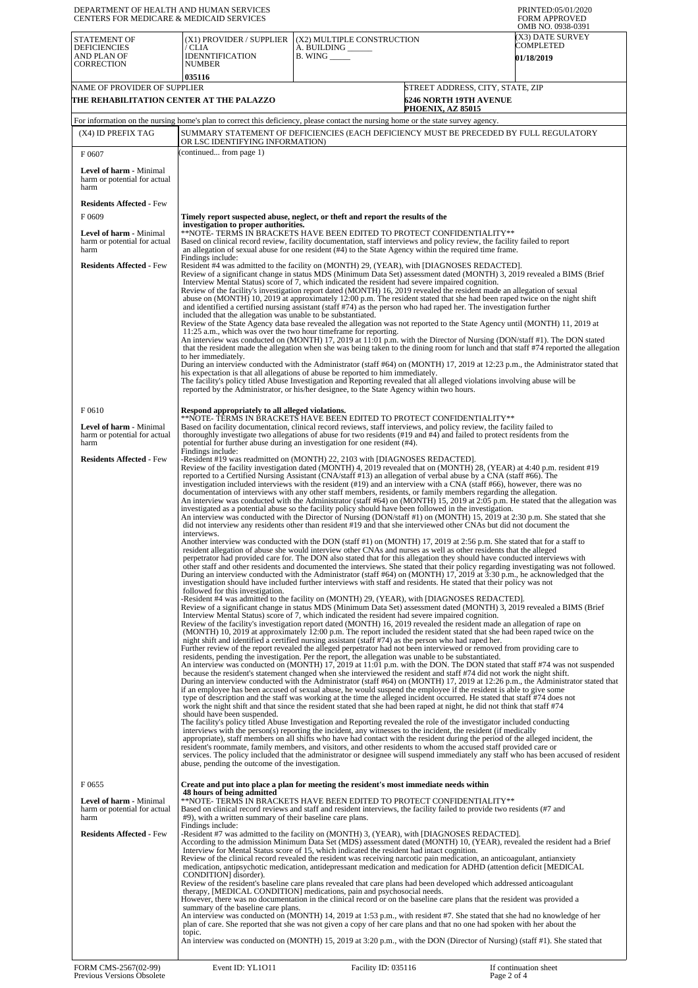| DEPARTMENT OF HEALTH AND HUMAN SERVICES<br>CENTERS FOR MEDICARE & MEDICAID SERVICES |                                                                                                                                                                                                                                                                                                                                                                                                                                                                                                                                                                                                                                                                                                                                                                                                                                                                                                                                                                                                                                                                                                                                                                                                                                                                                                                                                                                                                                                              | PRINTED:05/01/2020<br><b>FORM APPROVED</b>                                                                                                                                                                                                                                                                                                                                                                                                                                                                                                                                                                                                                                                                                                                                                                                                                                                                                                                                                                                                                                                                                                                                                                                                                                                                                                                                                                                                                                                                                                                                                                                                                                                                                                                                                                                                                                                                                                                                                                                                                                                                                                                                                                                                                                                                                                                                                                                                                                                    |                                                                                               |  |  |
|-------------------------------------------------------------------------------------|--------------------------------------------------------------------------------------------------------------------------------------------------------------------------------------------------------------------------------------------------------------------------------------------------------------------------------------------------------------------------------------------------------------------------------------------------------------------------------------------------------------------------------------------------------------------------------------------------------------------------------------------------------------------------------------------------------------------------------------------------------------------------------------------------------------------------------------------------------------------------------------------------------------------------------------------------------------------------------------------------------------------------------------------------------------------------------------------------------------------------------------------------------------------------------------------------------------------------------------------------------------------------------------------------------------------------------------------------------------------------------------------------------------------------------------------------------------|-----------------------------------------------------------------------------------------------------------------------------------------------------------------------------------------------------------------------------------------------------------------------------------------------------------------------------------------------------------------------------------------------------------------------------------------------------------------------------------------------------------------------------------------------------------------------------------------------------------------------------------------------------------------------------------------------------------------------------------------------------------------------------------------------------------------------------------------------------------------------------------------------------------------------------------------------------------------------------------------------------------------------------------------------------------------------------------------------------------------------------------------------------------------------------------------------------------------------------------------------------------------------------------------------------------------------------------------------------------------------------------------------------------------------------------------------------------------------------------------------------------------------------------------------------------------------------------------------------------------------------------------------------------------------------------------------------------------------------------------------------------------------------------------------------------------------------------------------------------------------------------------------------------------------------------------------------------------------------------------------------------------------------------------------------------------------------------------------------------------------------------------------------------------------------------------------------------------------------------------------------------------------------------------------------------------------------------------------------------------------------------------------------------------------------------------------------------------------------------------------|-----------------------------------------------------------------------------------------------|--|--|
| <b>STATEMENT OF</b><br><b>DEFICIENCIES</b><br>AND PLAN OF<br><b>CORRECTION</b>      | (X1) PROVIDER / SUPPLIER<br>/ CLIA<br><b>IDENNTIFICATION</b><br><b>NUMBER</b><br>035116                                                                                                                                                                                                                                                                                                                                                                                                                                                                                                                                                                                                                                                                                                                                                                                                                                                                                                                                                                                                                                                                                                                                                                                                                                                                                                                                                                      | (X2) MULTIPLE CONSTRUCTION<br>A. BUILDING ______<br><b>B.</b> WING ______                                                                                                                                                                                                                                                                                                                                                                                                                                                                                                                                                                                                                                                                                                                                                                                                                                                                                                                                                                                                                                                                                                                                                                                                                                                                                                                                                                                                                                                                                                                                                                                                                                                                                                                                                                                                                                                                                                                                                                                                                                                                                                                                                                                                                                                                                                                                                                                                                     | OMB NO. 0938-0391<br>X3) DATE SURVEY<br>COMPLETED<br><b>01/18/2019</b>                        |  |  |
| NAME OF PROVIDER OF SUPPLIER<br>THE REHABILITATION CENTER AT THE PALAZZO            |                                                                                                                                                                                                                                                                                                                                                                                                                                                                                                                                                                                                                                                                                                                                                                                                                                                                                                                                                                                                                                                                                                                                                                                                                                                                                                                                                                                                                                                              |                                                                                                                                                                                                                                                                                                                                                                                                                                                                                                                                                                                                                                                                                                                                                                                                                                                                                                                                                                                                                                                                                                                                                                                                                                                                                                                                                                                                                                                                                                                                                                                                                                                                                                                                                                                                                                                                                                                                                                                                                                                                                                                                                                                                                                                                                                                                                                                                                                                                                               | STREET ADDRESS, CITY, STATE, ZIP<br><b>6246 NORTH 19TH AVENUE</b><br><b>PHOENIX, AZ 85015</b> |  |  |
| (X4) ID PREFIX TAG                                                                  |                                                                                                                                                                                                                                                                                                                                                                                                                                                                                                                                                                                                                                                                                                                                                                                                                                                                                                                                                                                                                                                                                                                                                                                                                                                                                                                                                                                                                                                              | For information on the nursing home's plan to correct this deficiency, please contact the nursing home or the state survey agency.<br>SUMMARY STATEMENT OF DEFICIENCIES (EACH DEFICIENCY MUST BE PRECEDED BY FULL REGULATORY                                                                                                                                                                                                                                                                                                                                                                                                                                                                                                                                                                                                                                                                                                                                                                                                                                                                                                                                                                                                                                                                                                                                                                                                                                                                                                                                                                                                                                                                                                                                                                                                                                                                                                                                                                                                                                                                                                                                                                                                                                                                                                                                                                                                                                                                  |                                                                                               |  |  |
| F0607                                                                               | OR LSC IDENTIFYING INFORMATION)<br>continued from page 1)                                                                                                                                                                                                                                                                                                                                                                                                                                                                                                                                                                                                                                                                                                                                                                                                                                                                                                                                                                                                                                                                                                                                                                                                                                                                                                                                                                                                    |                                                                                                                                                                                                                                                                                                                                                                                                                                                                                                                                                                                                                                                                                                                                                                                                                                                                                                                                                                                                                                                                                                                                                                                                                                                                                                                                                                                                                                                                                                                                                                                                                                                                                                                                                                                                                                                                                                                                                                                                                                                                                                                                                                                                                                                                                                                                                                                                                                                                                               |                                                                                               |  |  |
| <b>Level of harm - Minimal</b><br>harm or potential for actual<br>harm              |                                                                                                                                                                                                                                                                                                                                                                                                                                                                                                                                                                                                                                                                                                                                                                                                                                                                                                                                                                                                                                                                                                                                                                                                                                                                                                                                                                                                                                                              |                                                                                                                                                                                                                                                                                                                                                                                                                                                                                                                                                                                                                                                                                                                                                                                                                                                                                                                                                                                                                                                                                                                                                                                                                                                                                                                                                                                                                                                                                                                                                                                                                                                                                                                                                                                                                                                                                                                                                                                                                                                                                                                                                                                                                                                                                                                                                                                                                                                                                               |                                                                                               |  |  |
| <b>Residents Affected - Few</b>                                                     |                                                                                                                                                                                                                                                                                                                                                                                                                                                                                                                                                                                                                                                                                                                                                                                                                                                                                                                                                                                                                                                                                                                                                                                                                                                                                                                                                                                                                                                              |                                                                                                                                                                                                                                                                                                                                                                                                                                                                                                                                                                                                                                                                                                                                                                                                                                                                                                                                                                                                                                                                                                                                                                                                                                                                                                                                                                                                                                                                                                                                                                                                                                                                                                                                                                                                                                                                                                                                                                                                                                                                                                                                                                                                                                                                                                                                                                                                                                                                                               |                                                                                               |  |  |
| F0609<br>Level of harm - Minimal<br>harm or potential for actual<br>harm            | Timely report suspected abuse, neglect, or theft and report the results of the<br>investigation to proper authorities.<br>**NOTE- TERMS IN BRACKETS HAVE BEEN EDITED TO PROTECT CONFIDENTIALITY**<br>Based on clinical record review, facility documentation, staff interviews and policy review, the facility failed to report<br>an allegation of sexual abuse for one resident (#4) to the State Agency within the required time frame.                                                                                                                                                                                                                                                                                                                                                                                                                                                                                                                                                                                                                                                                                                                                                                                                                                                                                                                                                                                                                   |                                                                                                                                                                                                                                                                                                                                                                                                                                                                                                                                                                                                                                                                                                                                                                                                                                                                                                                                                                                                                                                                                                                                                                                                                                                                                                                                                                                                                                                                                                                                                                                                                                                                                                                                                                                                                                                                                                                                                                                                                                                                                                                                                                                                                                                                                                                                                                                                                                                                                               |                                                                                               |  |  |
| <b>Residents Affected - Few</b>                                                     | Findings include:<br>included that the allegation was unable to be substantiated.<br>11:25 a.m., which was over the two hour time frame for reporting.<br>to her immediately.                                                                                                                                                                                                                                                                                                                                                                                                                                                                                                                                                                                                                                                                                                                                                                                                                                                                                                                                                                                                                                                                                                                                                                                                                                                                                | Resident #4 was admitted to the facility on (MONTH) 29, (YEAR), with [DIAGNOSES REDACTED].<br>Review of a significant change in status MDS (Minimum Data Set) assessment dated (MONTH) 3, 2019 revealed a BIMS (Brief<br>Interview Mental Status) score of 7, which indicated the resident had severe impaired cognition.<br>Review of the facility's investigation report dated (MONTH) 16, 2019 revealed the resident made an allegation of sexual<br>abuse on (MONTH) 10, 2019 at approximately 12:00 p.m. The resident stated that she had been raped twice on the night shift<br>and identified a certified nursing assistant (staff #74) as the person who had raped her. The investigation further<br>Review of the State Agency data base revealed the allegation was not reported to the State Agency until (MONTH) 11, 2019 at<br>An interview was conducted on (MONTH) 17, 2019 at 11:01 p.m. with the Director of Nursing (DON/staff #1). The DON stated<br>that the resident made the allegation when she was being taken to the dining room for lunch and that staff #74 reported the allegation<br>During an interview conducted with the Administrator (staff #64) on (MONTH) 17, 2019 at 12:23 p.m., the Administrator stated that<br>his expectation is that all allegations of abuse be reported to him immediately.<br>The facility's policy titled Abuse Investigation and Reporting revealed that all alleged violations involving abuse will be<br>reported by the Administrator, or his/her designee, to the State Agency within two hours.                                                                                                                                                                                                                                                                                                                                                                                                                                                                                                                                                                                                                                                                                                                                                                                                                                                                                                                           |                                                                                               |  |  |
| F0610<br>Level of harm - Minimal<br>harm or potential for actual<br>harm            | Respond appropriately to all alleged violations.<br>Findings include:                                                                                                                                                                                                                                                                                                                                                                                                                                                                                                                                                                                                                                                                                                                                                                                                                                                                                                                                                                                                                                                                                                                                                                                                                                                                                                                                                                                        | **NOTE- TERMS IN BRACKETS HAVE BEEN EDITED TO PROTECT CONFIDENTIALITY**<br>Based on facility documentation, clinical record reviews, staff interviews, and policy review, the facility failed to<br>thoroughly investigate two allegations of abuse for two residents (#19 and #4) and failed to protect residents from the<br>potential for further abuse during an investigation for one resident (#4).                                                                                                                                                                                                                                                                                                                                                                                                                                                                                                                                                                                                                                                                                                                                                                                                                                                                                                                                                                                                                                                                                                                                                                                                                                                                                                                                                                                                                                                                                                                                                                                                                                                                                                                                                                                                                                                                                                                                                                                                                                                                                     |                                                                                               |  |  |
| <b>Residents Affected - Few</b>                                                     | interviews.                                                                                                                                                                                                                                                                                                                                                                                                                                                                                                                                                                                                                                                                                                                                                                                                                                                                                                                                                                                                                                                                                                                                                                                                                                                                                                                                                                                                                                                  | -Resident #19 was readmitted on (MONTH) 22, 2103 with [DIAGNOSES REDACTED].<br>Review of the facility investigation dated (MONTH) 4, 2019 revealed that on (MONTH) 28, (YEAR) at 4:40 p.m. resident #19<br>reported to a Certified Nursing Assistant (CNA/staff #13) an allegation of verbal abuse by a CNA (staff #66). The<br>investigation included interviews with the resident (#19) and an interview with a CNA (staff #66), however, there was no<br>documentation of interviews with any other staff members, residents, or family members regarding the allegation.<br>An interview was conducted with the Administrator (staff #64) on (MONTH) 15, 2019 at 2:05 p.m. He stated that the allegation was<br>investigated as a potential abuse so the facility policy should have been followed in the investigation.<br>An interview was conducted with the Director of Nursing (DON/staff #1) on (MONTH) 15, 2019 at 2:30 p.m. She stated that she<br>did not interview any residents other than resident #19 and that she interviewed other CNAs but did not document the                                                                                                                                                                                                                                                                                                                                                                                                                                                                                                                                                                                                                                                                                                                                                                                                                                                                                                                                                                                                                                                                                                                                                                                                                                                                                                                                                                                                           |                                                                                               |  |  |
|                                                                                     | followed for this investigation.<br>should have been suspended.                                                                                                                                                                                                                                                                                                                                                                                                                                                                                                                                                                                                                                                                                                                                                                                                                                                                                                                                                                                                                                                                                                                                                                                                                                                                                                                                                                                              | Another interview was conducted with the DON (staff #1) on (MONTH) 17, 2019 at 2:56 p.m. She stated that for a staff to<br>resident allegation of abuse she would interview other CNAs and nurses as well as other residents that the alleged<br>perpetrator had provided care for. The DON also stated that for this allegation they should have conducted interviews with<br>other staff and other residents and documented the interviews. She stated that their policy regarding investigating was not followed.<br>During an interview conducted with the Administrator (staff #64) on (MONTH) 17, 2019 at 3:30 p.m., he acknowledged that the<br>investigation should have included further interviews with staff and residents. He stated that their policy was not<br>-Resident #4 was admitted to the facility on (MONTH) 29, (YEAR), with [DIAGNOSES REDACTED].<br>Review of a significant change in status MDS (Minimum Data Set) assessment dated (MONTH) 3, 2019 revealed a BIMS (Brief<br>Interview Mental Status) score of 7, which indicated the resident had severe impaired cognition.<br>Review of the facility's investigation report dated (MONTH) 16, 2019 revealed the resident made an allegation of rape on<br>(MONTH) 10, 2019 at approximately 12:00 p.m. The report included the resident stated that she had been raped twice on the<br>night shift and identified a certified nursing assistant (staff #74) as the person who had raped her.<br>Further review of the report revealed the alleged perpetrator had not been interviewed or removed from providing care to<br>residents, pending the investigation. Per the report, the allegation was unable to be substantiated.<br>An interview was conducted on (MONTH) 17, 2019 at 11:01 p.m. with the DON. The DON stated that staff #74 was not suspended<br>because the resident's statement changed when she interviewed the resident and staff #74 did not work the night shift.<br>During an interview conducted with the Administrator (staff #64) on (MONTH) 17, 2019 at 12:26 p.m., the Administrator stated that<br>if an employee has been accused of sexual abuse, he would suspend the employee if the resident is able to give some<br>type of description and the staff was working at the time the alleged incident occurred. He stated that staff #74 does not<br>work the night shift and that since the resident stated that she had been raped at night, he did not think that staff #74 |                                                                                               |  |  |
|                                                                                     | abuse, pending the outcome of the investigation.                                                                                                                                                                                                                                                                                                                                                                                                                                                                                                                                                                                                                                                                                                                                                                                                                                                                                                                                                                                                                                                                                                                                                                                                                                                                                                                                                                                                             | The facility's policy titled Abuse Investigation and Reporting revealed the role of the investigator included conducting<br>interviews with the person(s) reporting the incident, any witnesses to the incident, the resident (if medically<br>appropriate), staff members on all shifts who have had contact with the resident during the period of the alleged incident, the<br>resident's roommate, family members, and visitors, and other residents to whom the accused staff provided care or<br>services. The policy included that the administrator or designee will suspend immediately any staff who has been accused of resident                                                                                                                                                                                                                                                                                                                                                                                                                                                                                                                                                                                                                                                                                                                                                                                                                                                                                                                                                                                                                                                                                                                                                                                                                                                                                                                                                                                                                                                                                                                                                                                                                                                                                                                                                                                                                                                   |                                                                                               |  |  |
| F0655<br><b>Level of harm - Minimal</b>                                             | 48 hours of being admitted                                                                                                                                                                                                                                                                                                                                                                                                                                                                                                                                                                                                                                                                                                                                                                                                                                                                                                                                                                                                                                                                                                                                                                                                                                                                                                                                                                                                                                   | Create and put into place a plan for meeting the resident's most immediate needs within<br>**NOTE- TERMS IN BRACKETS HAVE BEEN EDITED TO PROTECT CONFIDENTIALITY**                                                                                                                                                                                                                                                                                                                                                                                                                                                                                                                                                                                                                                                                                                                                                                                                                                                                                                                                                                                                                                                                                                                                                                                                                                                                                                                                                                                                                                                                                                                                                                                                                                                                                                                                                                                                                                                                                                                                                                                                                                                                                                                                                                                                                                                                                                                            |                                                                                               |  |  |
| harm or potential for actual<br>harm<br><b>Residents Affected - Few</b>             | Based on clinical record reviews and staff and resident interviews, the facility failed to provide two residents (#7 and<br>#9), with a written summary of their baseline care plans.<br>Findings include:<br>-Resident #7 was admitted to the facility on (MONTH) 3, (YEAR), with [DIAGNOSES REDACTED].<br>According to the admission Minimum Data Set (MDS) assessment dated (MONTH) 10, (YEAR), revealed the resident had a Brief<br>Interview for Mental Status score of 15, which indicated the resident had intact cognition.<br>Review of the clinical record revealed the resident was receiving narcotic pain medication, an anticoagulant, antianxiety<br>medication, antipsychotic medication, antidepressant medication and medication for ADHD (attention deficit [MEDICAL<br>CONDITION] disorder).<br>Review of the resident's baseline care plans revealed that care plans had been developed which addressed anticoagulant<br>therapy, [MEDICAL CONDITION] medications, pain and psychosocial needs.<br>However, there was no documentation in the clinical record or on the baseline care plans that the resident was provided a<br>summary of the baseline care plans.<br>An interview was conducted on (MONTH) 14, 2019 at 1:53 p.m., with resident #7. She stated that she had no knowledge of her<br>plan of care. She reported that she was not given a copy of her care plans and that no one had spoken with her about the<br>topic. |                                                                                                                                                                                                                                                                                                                                                                                                                                                                                                                                                                                                                                                                                                                                                                                                                                                                                                                                                                                                                                                                                                                                                                                                                                                                                                                                                                                                                                                                                                                                                                                                                                                                                                                                                                                                                                                                                                                                                                                                                                                                                                                                                                                                                                                                                                                                                                                                                                                                                               |                                                                                               |  |  |
|                                                                                     |                                                                                                                                                                                                                                                                                                                                                                                                                                                                                                                                                                                                                                                                                                                                                                                                                                                                                                                                                                                                                                                                                                                                                                                                                                                                                                                                                                                                                                                              | An interview was conducted on (MONTH) 15, 2019 at 3:20 p.m., with the DON (Director of Nursing) (staff #1). She stated that                                                                                                                                                                                                                                                                                                                                                                                                                                                                                                                                                                                                                                                                                                                                                                                                                                                                                                                                                                                                                                                                                                                                                                                                                                                                                                                                                                                                                                                                                                                                                                                                                                                                                                                                                                                                                                                                                                                                                                                                                                                                                                                                                                                                                                                                                                                                                                   |                                                                                               |  |  |
| FORM CMS-2567(02-99)<br>Previous Versions Obsolete                                  | Event ID: YL1011                                                                                                                                                                                                                                                                                                                                                                                                                                                                                                                                                                                                                                                                                                                                                                                                                                                                                                                                                                                                                                                                                                                                                                                                                                                                                                                                                                                                                                             | Facility ID: 035116                                                                                                                                                                                                                                                                                                                                                                                                                                                                                                                                                                                                                                                                                                                                                                                                                                                                                                                                                                                                                                                                                                                                                                                                                                                                                                                                                                                                                                                                                                                                                                                                                                                                                                                                                                                                                                                                                                                                                                                                                                                                                                                                                                                                                                                                                                                                                                                                                                                                           | If continuation sheet<br>Page 2 of 4                                                          |  |  |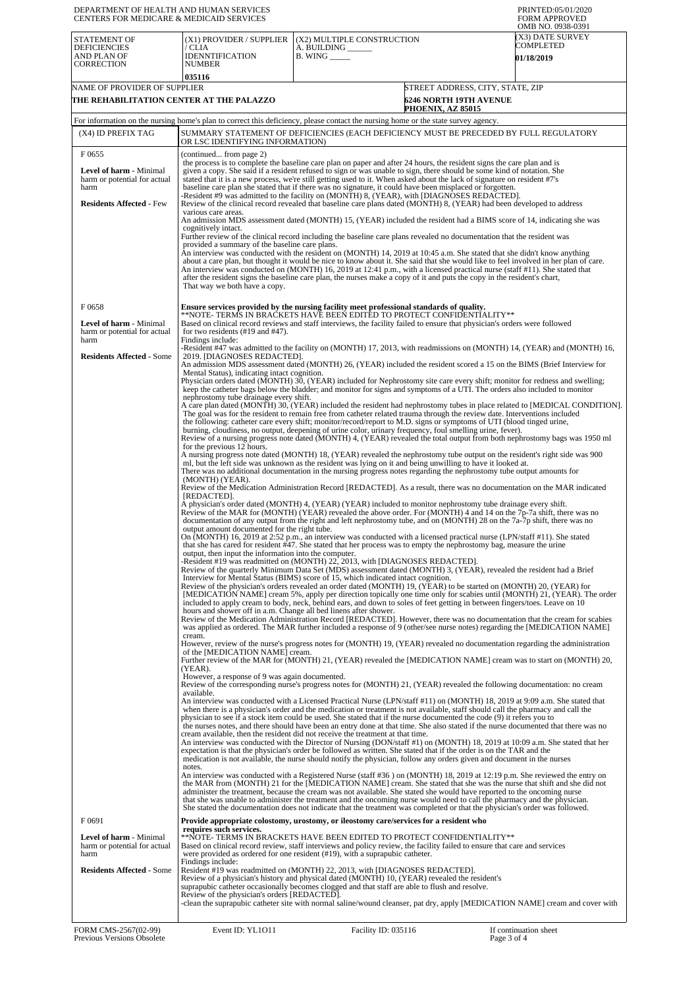| DEPARTMENT OF HEALTH AND HUMAN SERVICES<br><b>CENTERS FOR MEDICARE &amp; MEDICAID SERVICES</b>               |                                                                                                                                                                                                                                                                                                                                                                                                                                                                                                                                                                                                                                                                                                                                                                                                                                                                                                                                                                                                                                                                                                                                                                                                                                                                                                                                                                                                                                                                                                                                                                                                                                                                                                                                                                                                                                                                                                                                                                                                                                                                                                                                                                                                                                                                                                                                                                                                                                                                                                                                                                                                                                                                                                                                                                                                                                                                                                                                                                                                                                                                                                                                                                                                                                                                                                                                                                                                                                                                                                                                                                                                                                                                                                                                                                                                                                                                                                                                                                                                                                                                                                                                                                                                                                                                                                                                                                                                                                                                                                                                                                                                                                                                                                                                                                                                                                                                                                                                                                                                                                                                                                                                                                                                                                                               |                                                                                                                                                                                                                                                                                                                                                                                                                                                                                                                                                                                                                                                                                                                                                                                                                                                                                                                                                                                                                                                                                                                                                                                         | PRINTED:05/01/2020<br><b>FORM APPROVED</b><br>OMB NO. 0938-0391 |  |  |
|--------------------------------------------------------------------------------------------------------------|---------------------------------------------------------------------------------------------------------------------------------------------------------------------------------------------------------------------------------------------------------------------------------------------------------------------------------------------------------------------------------------------------------------------------------------------------------------------------------------------------------------------------------------------------------------------------------------------------------------------------------------------------------------------------------------------------------------------------------------------------------------------------------------------------------------------------------------------------------------------------------------------------------------------------------------------------------------------------------------------------------------------------------------------------------------------------------------------------------------------------------------------------------------------------------------------------------------------------------------------------------------------------------------------------------------------------------------------------------------------------------------------------------------------------------------------------------------------------------------------------------------------------------------------------------------------------------------------------------------------------------------------------------------------------------------------------------------------------------------------------------------------------------------------------------------------------------------------------------------------------------------------------------------------------------------------------------------------------------------------------------------------------------------------------------------------------------------------------------------------------------------------------------------------------------------------------------------------------------------------------------------------------------------------------------------------------------------------------------------------------------------------------------------------------------------------------------------------------------------------------------------------------------------------------------------------------------------------------------------------------------------------------------------------------------------------------------------------------------------------------------------------------------------------------------------------------------------------------------------------------------------------------------------------------------------------------------------------------------------------------------------------------------------------------------------------------------------------------------------------------------------------------------------------------------------------------------------------------------------------------------------------------------------------------------------------------------------------------------------------------------------------------------------------------------------------------------------------------------------------------------------------------------------------------------------------------------------------------------------------------------------------------------------------------------------------------------------------------------------------------------------------------------------------------------------------------------------------------------------------------------------------------------------------------------------------------------------------------------------------------------------------------------------------------------------------------------------------------------------------------------------------------------------------------------------------------------------------------------------------------------------------------------------------------------------------------------------------------------------------------------------------------------------------------------------------------------------------------------------------------------------------------------------------------------------------------------------------------------------------------------------------------------------------------------------------------------------------------------------------------------------------------------------------------------------------------------------------------------------------------------------------------------------------------------------------------------------------------------------------------------------------------------------------------------------------------------------------------------------------------------------------------------------------------------------------------------------------------------------------------------------|-----------------------------------------------------------------------------------------------------------------------------------------------------------------------------------------------------------------------------------------------------------------------------------------------------------------------------------------------------------------------------------------------------------------------------------------------------------------------------------------------------------------------------------------------------------------------------------------------------------------------------------------------------------------------------------------------------------------------------------------------------------------------------------------------------------------------------------------------------------------------------------------------------------------------------------------------------------------------------------------------------------------------------------------------------------------------------------------------------------------------------------------------------------------------------------------|-----------------------------------------------------------------|--|--|
| <b>STATEMENT OF</b><br><b>DEFICIENCIES</b><br>AND PLAN OF<br><b>CORRECTION</b>                               | (X1) PROVIDER / SUPPLIER<br>/ CLIA<br><b>IDENNTIFICATION</b><br><b>NUMBER</b>                                                                                                                                                                                                                                                                                                                                                                                                                                                                                                                                                                                                                                                                                                                                                                                                                                                                                                                                                                                                                                                                                                                                                                                                                                                                                                                                                                                                                                                                                                                                                                                                                                                                                                                                                                                                                                                                                                                                                                                                                                                                                                                                                                                                                                                                                                                                                                                                                                                                                                                                                                                                                                                                                                                                                                                                                                                                                                                                                                                                                                                                                                                                                                                                                                                                                                                                                                                                                                                                                                                                                                                                                                                                                                                                                                                                                                                                                                                                                                                                                                                                                                                                                                                                                                                                                                                                                                                                                                                                                                                                                                                                                                                                                                                                                                                                                                                                                                                                                                                                                                                                                                                                                                                 | (X2) MULTIPLE CONSTRUCTION<br>A. BUILDING<br>$B.$ WING $\_\_\_\_\_\_\$                                                                                                                                                                                                                                                                                                                                                                                                                                                                                                                                                                                                                                                                                                                                                                                                                                                                                                                                                                                                                                                                                                                  | (X3) DATE SURVEY<br>COMPLETED<br>01/18/2019                     |  |  |
| NAME OF PROVIDER OF SUPPLIER<br>THE REHABILITATION CENTER AT THE PALAZZO                                     | 035116                                                                                                                                                                                                                                                                                                                                                                                                                                                                                                                                                                                                                                                                                                                                                                                                                                                                                                                                                                                                                                                                                                                                                                                                                                                                                                                                                                                                                                                                                                                                                                                                                                                                                                                                                                                                                                                                                                                                                                                                                                                                                                                                                                                                                                                                                                                                                                                                                                                                                                                                                                                                                                                                                                                                                                                                                                                                                                                                                                                                                                                                                                                                                                                                                                                                                                                                                                                                                                                                                                                                                                                                                                                                                                                                                                                                                                                                                                                                                                                                                                                                                                                                                                                                                                                                                                                                                                                                                                                                                                                                                                                                                                                                                                                                                                                                                                                                                                                                                                                                                                                                                                                                                                                                                                                        | STREET ADDRESS, CITY, STATE, ZIP<br><b>6246 NORTH 19TH AVENUE</b>                                                                                                                                                                                                                                                                                                                                                                                                                                                                                                                                                                                                                                                                                                                                                                                                                                                                                                                                                                                                                                                                                                                       |                                                                 |  |  |
|                                                                                                              |                                                                                                                                                                                                                                                                                                                                                                                                                                                                                                                                                                                                                                                                                                                                                                                                                                                                                                                                                                                                                                                                                                                                                                                                                                                                                                                                                                                                                                                                                                                                                                                                                                                                                                                                                                                                                                                                                                                                                                                                                                                                                                                                                                                                                                                                                                                                                                                                                                                                                                                                                                                                                                                                                                                                                                                                                                                                                                                                                                                                                                                                                                                                                                                                                                                                                                                                                                                                                                                                                                                                                                                                                                                                                                                                                                                                                                                                                                                                                                                                                                                                                                                                                                                                                                                                                                                                                                                                                                                                                                                                                                                                                                                                                                                                                                                                                                                                                                                                                                                                                                                                                                                                                                                                                                                               | <b>PHOENIX, AZ 85015</b><br>For information on the nursing home's plan to correct this deficiency, please contact the nursing home or the state survey agency.                                                                                                                                                                                                                                                                                                                                                                                                                                                                                                                                                                                                                                                                                                                                                                                                                                                                                                                                                                                                                          |                                                                 |  |  |
| (X4) ID PREFIX TAG                                                                                           |                                                                                                                                                                                                                                                                                                                                                                                                                                                                                                                                                                                                                                                                                                                                                                                                                                                                                                                                                                                                                                                                                                                                                                                                                                                                                                                                                                                                                                                                                                                                                                                                                                                                                                                                                                                                                                                                                                                                                                                                                                                                                                                                                                                                                                                                                                                                                                                                                                                                                                                                                                                                                                                                                                                                                                                                                                                                                                                                                                                                                                                                                                                                                                                                                                                                                                                                                                                                                                                                                                                                                                                                                                                                                                                                                                                                                                                                                                                                                                                                                                                                                                                                                                                                                                                                                                                                                                                                                                                                                                                                                                                                                                                                                                                                                                                                                                                                                                                                                                                                                                                                                                                                                                                                                                                               | SUMMARY STATEMENT OF DEFICIENCIES (EACH DEFICIENCY MUST BE PRECEDED BY FULL REGULATORY                                                                                                                                                                                                                                                                                                                                                                                                                                                                                                                                                                                                                                                                                                                                                                                                                                                                                                                                                                                                                                                                                                  |                                                                 |  |  |
| F0655<br>Level of harm - Minimal<br>harm or potential for actual<br>harm<br><b>Residents Affected - Few</b>  | OR LSC IDENTIFYING INFORMATION)<br>(continued from page 2)<br>the process is to complete the baseline care plan on paper and after 24 hours, the resident signs the care plan and is<br>given a copy. She said if a resident refused to sign or was unable to sign, there should be some kind of notation. She<br>stated that it is a new process, we're still getting used to it. When asked about the lack of signature on resident #7's<br>baseline care plan she stated that if there was no signature, it could have been misplaced or forgotten.<br>-Resident #9 was admitted to the facility on (MONTH) 8, (YEAR), with [DIAGNOSES REDACTED].<br>Review of the clinical record revealed that baseline care plans dated (MONTH) 8, (YEAR) had been developed to address<br>various care areas.<br>An admission MDS assessment dated (MONTH) 15, (YEAR) included the resident had a BIMS score of 14, indicating she was<br>cognitively intact.<br>Further review of the clinical record including the baseline care plans revealed no documentation that the resident was<br>provided a summary of the baseline care plans.<br>An interview was conducted with the resident on (MONTH) 14, 2019 at 10:45 a.m. She stated that she didn't know anything<br>about a care plan, but thought it would be nice to know about it. She said that she would like to feel involved in her plan of care.<br>An interview was conducted on (MONTH) 16, 2019 at 12:41 p.m., with a licensed practical nurse (staff #11). She stated that<br>after the resident signs the baseline care plan, the nurses make a copy of it and puts the copy in the resident's chart,                                                                                                                                                                                                                                                                                                                                                                                                                                                                                                                                                                                                                                                                                                                                                                                                                                                                                                                                                                                                                                                                                                                                                                                                                                                                                                                                                                                                                                                                                                                                                                                                                                                                                                                                                                                                                                                                                                                                                                                                                                                                                                                                                                                                                                                                                                                                                                                                                                                                                                                                                                                                                                                                                                                                                                                                                                                                                                                                                                                                                                                                                                                                                                                                                                                                                                                                                                                                                                                                                                                                                                                                |                                                                                                                                                                                                                                                                                                                                                                                                                                                                                                                                                                                                                                                                                                                                                                                                                                                                                                                                                                                                                                                                                                                                                                                         |                                                                 |  |  |
| F0658<br>Level of harm - Minimal<br>harm or potential for actual                                             | That way we both have a copy.<br>for two residents $(\#19 \text{ and } \#47)$ .                                                                                                                                                                                                                                                                                                                                                                                                                                                                                                                                                                                                                                                                                                                                                                                                                                                                                                                                                                                                                                                                                                                                                                                                                                                                                                                                                                                                                                                                                                                                                                                                                                                                                                                                                                                                                                                                                                                                                                                                                                                                                                                                                                                                                                                                                                                                                                                                                                                                                                                                                                                                                                                                                                                                                                                                                                                                                                                                                                                                                                                                                                                                                                                                                                                                                                                                                                                                                                                                                                                                                                                                                                                                                                                                                                                                                                                                                                                                                                                                                                                                                                                                                                                                                                                                                                                                                                                                                                                                                                                                                                                                                                                                                                                                                                                                                                                                                                                                                                                                                                                                                                                                                                               | Ensure services provided by the nursing facility meet professional standards of quality.<br>**NOTE- TERMS IN BRACKETS HAVE BEEN EDITED TO PROTECT CONFIDENTIALITY**                                                                                                                                                                                                                                                                                                                                                                                                                                                                                                                                                                                                                                                                                                                                                                                                                                                                                                                                                                                                                     |                                                                 |  |  |
| harm<br><b>Residents Affected - Some</b>                                                                     | Based on clinical record reviews and staff interviews, the facility failed to ensure that physician's orders were followed<br>Findings include:<br>-Resident #47 was admitted to the facility on (MONTH) 17, 2013, with readmissions on (MONTH) 14, (YEAR) and (MONTH) 16,<br>2019. [DIAGNOSES REDACTED].<br>An admission MDS assessment dated (MONTH) 26, (YEAR) included the resident scored a 15 on the BIMS (Brief Interview for<br>Mental Status), indicating intact cognition.<br>Physician orders dated (MONTH) 30, (YEAR) included for Nephrostomy site care every shift; monitor for redness and swelling;<br>keep the catheter bags below the bladder; and monitor for signs and symptoms of a UTI. The orders also included to monitor<br>nephrostomy tube drainage every shift.<br>A care plan dated (MONTH) 30, (YEAR) included the resident had nephrostomy tubes in place related to [MEDICAL CONDITION].<br>The goal was for the resident to remain free from catheter related trauma through the review date. Interventions included<br>the following: catheter care every shift; monitor/record/report to M.D. signs or symptoms of UTI (blood tinged urine,<br>burning, cloudiness, no output, deepening of urine color, urinary frequency, foul smelling urine, fever).<br>Review of a nursing progress note dated (MONTH) 4, (YEAR) revealed the total output from both nephrostomy bags was 1950 ml<br>for the previous 12 hours.<br>A nursing progress note dated (MONTH) 18, (YEAR) revealed the nephrostomy tube output on the resident's right side was 900<br>ml, but the left side was unknown as the resident was lying on it and being unwilling to have it looked at.<br>There was no additional documentation in the nursing progress notes regarding the nephrostomy tube output amounts for<br>(MONTH) (YEAR).<br>Review of the Medication Administration Record [REDACTED]. As a result, there was no documentation on the MAR indicated<br>[REDACTED].<br>A physician's order dated (MONTH) 4, (YEAR) (YEAR) included to monitor nephrostomy tube drainage every shift.<br>Review of the MAR for (MONTH) (YEAR) revealed the above order. For (MONTH) 4 and 14 on the 7p-7a shift, there was no<br>documentation of any output from the right and left nephrostomy tube, and on (MONTH) 28 on the 7a-7p shift, there was no<br>output amount documented for the right tube.<br>On (MONTH) 16, 2019 at 2:52 p.m., an interview was conducted with a licensed practical nurse (LPN/staff #11). She stated<br>that she has cared for resident #47. She stated that her process was to empty the nephrostomy bag, measure the urine<br>output, then input the information into the computer.<br>-Resident #19 was readmitted on (MONTH) 22, 2013, with [DIAGNOSES REDACTED].<br>Review of the quarterly Minimum Data Set (MDS) assessment dated (MONTH) 3, (YEAR), revealed the resident had a Brief<br>Interview for Mental Status (BIMS) score of 15, which indicated intact cognition.<br>Review of the physician's orders revealed an order dated (MONTH) 19, (YEAR) to be started on (MONTH) 20, (YEAR) for<br>[MEDICATION NAME] cream 5%, apply per direction topically one time only for scabies until (MONTH) 21, (YEAR). The order<br>included to apply cream to body, neck, behind ears, and down to soles of feet getting in between fingers/toes. Leave on 10<br>hours and shower off in a.m. Change all bed linens after shower.<br>Review of the Medication Administration Record [REDACTED]. However, there was no documentation that the cream for scabies<br>was applied as ordered. The MAR further included a response of 9 (other/see nurse notes) regarding the [MEDICATION NAME]<br>cream.<br>However, review of the nurse's progress notes for (MONTH) 19, (YEAR) revealed no documentation regarding the administration<br>of the [MEDICATION NAME] cream.<br>Further review of the MAR for (MONTH) 21, (YEAR) revealed the [MEDICATION NAME] cream was to start on (MONTH) 20,<br>(YEAR).<br>However, a response of 9 was again documented.<br>Review of the corresponding nurse's progress notes for (MONTH) 21, (YEAR) revealed the following documentation: no cream<br>available.<br>An interview was conducted with a Licensed Practical Nurse (LPN/staff #11) on (MONTH) 18, 2019 at 9:09 a.m. She stated that<br>when there is a physician's order and the medication or treatment is not available, staff should call the pharmacy and call the<br>physician to see if a stock item could be used. She stated that if the nurse documented the code (9) it refers you to<br>the nurses notes, and there should have been an entry done at that time. She also stated if the nurse documented that there was no<br>cream available, then the resident did not receive the treatment at that time.<br>An interview was conducted with the Director of Nursing (DON/staff #1) on (MONTH) 18, 2019 at 10:09 a.m. She stated that her<br>expectation is that the physician's order be followed as written. She stated that if the order is on the TAR and the<br>medication is not available, the nurse should notify the physician, follow any orders given and document in the nurses<br>notes. |                                                                                                                                                                                                                                                                                                                                                                                                                                                                                                                                                                                                                                                                                                                                                                                                                                                                                                                                                                                                                                                                                                                                                                                         |                                                                 |  |  |
| F0691<br>Level of harm - Minimal<br>harm or potential for actual<br>harm<br><b>Residents Affected - Some</b> | requires such services.<br>Findings include:<br>Review of the physician's orders [REDACTED].                                                                                                                                                                                                                                                                                                                                                                                                                                                                                                                                                                                                                                                                                                                                                                                                                                                                                                                                                                                                                                                                                                                                                                                                                                                                                                                                                                                                                                                                                                                                                                                                                                                                                                                                                                                                                                                                                                                                                                                                                                                                                                                                                                                                                                                                                                                                                                                                                                                                                                                                                                                                                                                                                                                                                                                                                                                                                                                                                                                                                                                                                                                                                                                                                                                                                                                                                                                                                                                                                                                                                                                                                                                                                                                                                                                                                                                                                                                                                                                                                                                                                                                                                                                                                                                                                                                                                                                                                                                                                                                                                                                                                                                                                                                                                                                                                                                                                                                                                                                                                                                                                                                                                                  | administer the treatment, because the cream was not available. She stated she would have reported to the oncoming nurse<br>that she was unable to administer the treatment and the oncoming nurse would need to call the pharmacy and the physician.<br>She stated the documentation does not indicate that the treatment was completed or that the physician's order was followed.<br>Provide appropriate colostomy, urostomy, or ileostomy care/services for a resident who<br>**NOTE- TERMS IN BRACKETS HAVE BEEN EDITED TO PROTECT CONFIDENTIALITY**<br>Based on clinical record review, staff interviews and policy review, the facility failed to ensure that care and services<br>were provided as ordered for one resident (#19), with a suprapubic catheter.<br>Resident #19 was readmitted on (MONTH) 22, 2013, with [DIAGNOSES REDACTED].<br>Review of a physician's history and physical dated (MONTH) 10, (YEAR) revealed the resident's<br>suprapubic catheter occasionally becomes clogged and that staff are able to flush and resolve.<br>-clean the suprapubic catheter site with normal saline/wound cleanser, pat dry, apply [MEDICATION NAME] cream and cover with |                                                                 |  |  |
| FORM CMS-2567(02-99)<br>Previous Versions Obsolete                                                           | Event ID: YL1011                                                                                                                                                                                                                                                                                                                                                                                                                                                                                                                                                                                                                                                                                                                                                                                                                                                                                                                                                                                                                                                                                                                                                                                                                                                                                                                                                                                                                                                                                                                                                                                                                                                                                                                                                                                                                                                                                                                                                                                                                                                                                                                                                                                                                                                                                                                                                                                                                                                                                                                                                                                                                                                                                                                                                                                                                                                                                                                                                                                                                                                                                                                                                                                                                                                                                                                                                                                                                                                                                                                                                                                                                                                                                                                                                                                                                                                                                                                                                                                                                                                                                                                                                                                                                                                                                                                                                                                                                                                                                                                                                                                                                                                                                                                                                                                                                                                                                                                                                                                                                                                                                                                                                                                                                                              | Facility ID: 035116                                                                                                                                                                                                                                                                                                                                                                                                                                                                                                                                                                                                                                                                                                                                                                                                                                                                                                                                                                                                                                                                                                                                                                     | If continuation sheet<br>Page 3 of 4                            |  |  |